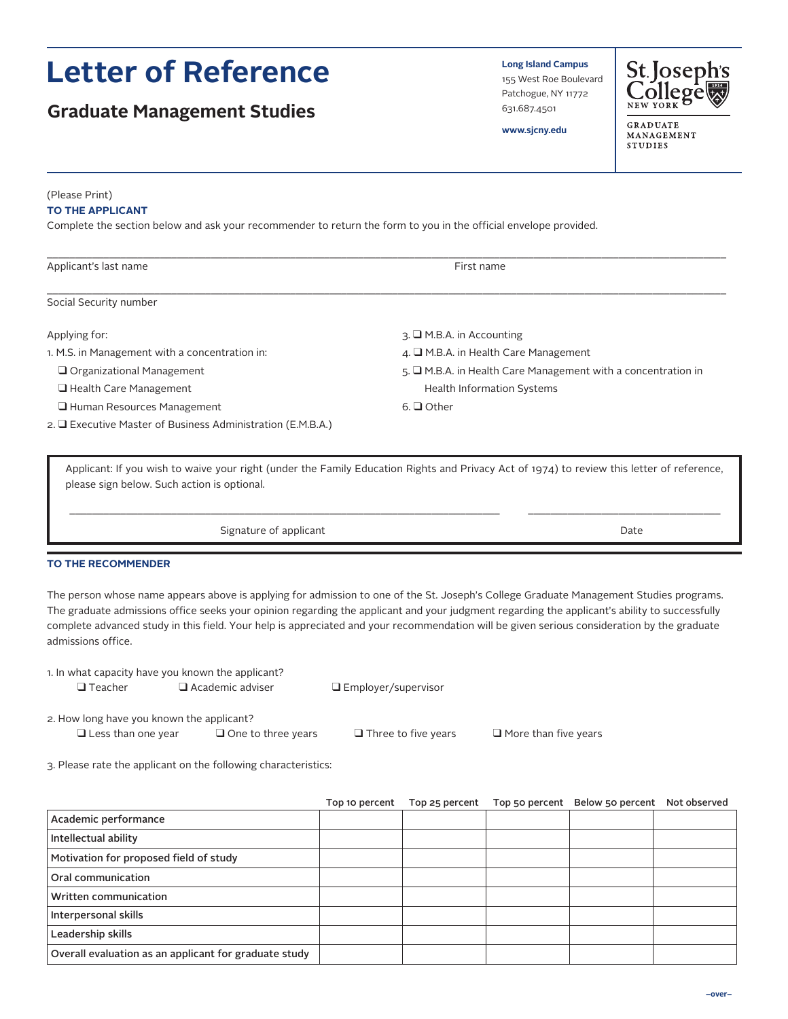# **Letter of Reference**

## **Graduate Management Studies**

**Long Island Campus** 155 West Roe Boulevard Patchogue, NY 11772 631.687.4501



**www.sjcny.edu**

**GRADUATE** MANAGEMENT **STUDIES** 

(Please Print)

#### **TO THE APPLICANT**

Complete the section below and ask your recommender to return the form to you in the official envelope provided.

| Applicant's last name                                       | First name                                                    |  |  |
|-------------------------------------------------------------|---------------------------------------------------------------|--|--|
|                                                             |                                                               |  |  |
| Social Security number                                      |                                                               |  |  |
| Applying for:                                               | $\overline{A}$ . I M.B.A. in Accounting                       |  |  |
| 1. M.S. in Management with a concentration in:              | $\overline{4}$ . $\Box$ M.B.A. in Health Care Management      |  |  |
| $\Box$ Organizational Management                            | $5.$ M.B.A. in Health Care Management with a concentration in |  |  |
| $\Box$ Health Care Management                               | Health Information Systems                                    |  |  |
| $\Box$ Human Resources Management                           | 6. $\Box$ Other                                               |  |  |
| $2.$ Executive Master of Business Administration (E.M.B.A.) |                                                               |  |  |

Applicant: If you wish to waive your right (under the Family Education Rights and Privacy Act of 1974) to review this letter of reference, please sign below. Such action is optional.

\_\_\_\_\_\_\_\_\_\_\_\_\_\_\_\_\_\_\_\_\_\_\_\_\_\_\_\_\_\_\_\_\_\_\_\_\_\_\_\_\_\_\_\_\_\_\_\_\_\_\_\_\_\_\_\_\_\_\_\_\_\_\_\_\_\_\_\_\_\_\_\_\_\_\_\_ \_\_\_\_\_\_\_\_\_\_\_\_\_\_\_\_\_\_\_\_\_\_\_\_\_\_\_\_\_\_\_\_\_\_

Signature of applicant Date Communications and Date Date Date

#### **TO THE RECOMMENDER**

The person whose name appears above is applying for admission to one of the St. Joseph's College Graduate Management Studies programs. The graduate admissions office seeks your opinion regarding the applicant and your judgment regarding the applicant's ability to successfully complete advanced study in this field. Your help is appreciated and your recommendation will be given serious consideration by the graduate admissions office.

1. In what capacity have you known the applicant?

 $\Box$  Employer/supervisor

2. How long have you known the applicant?

 $\Box$  Less than one year  $\Box$  One to three years  $\Box$  Three to five years  $\Box$  More than five years

3. Please rate the applicant on the following characteristics:

|                                                       | Top 10 percent | Top 25 percent | Top 50 percent | Below 50 percent | Not observed |
|-------------------------------------------------------|----------------|----------------|----------------|------------------|--------------|
| Academic performance                                  |                |                |                |                  |              |
| Intellectual ability                                  |                |                |                |                  |              |
| Motivation for proposed field of study                |                |                |                |                  |              |
| Oral communication                                    |                |                |                |                  |              |
| Written communication                                 |                |                |                |                  |              |
| Interpersonal skills                                  |                |                |                |                  |              |
| Leadership skills                                     |                |                |                |                  |              |
| Overall evaluation as an applicant for graduate study |                |                |                |                  |              |